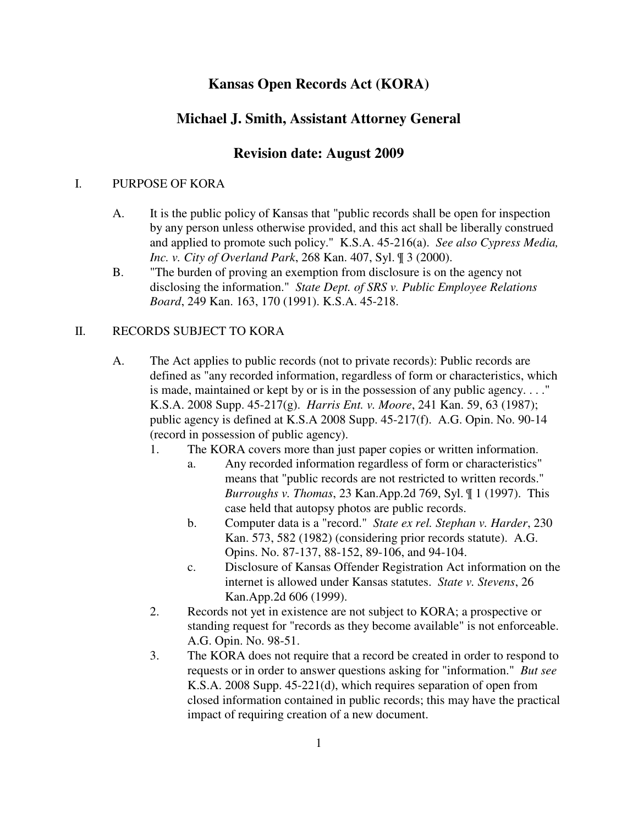# **Kansas Open Records Act (KORA)**

# **Michael J. Smith, Assistant Attorney General**

# **Revision date: August 2009**

#### I. PURPOSE OF KORA

- A. It is the public policy of Kansas that "public records shall be open for inspection by any person unless otherwise provided, and this act shall be liberally construed and applied to promote such policy." K.S.A. 45-216(a). *See also Cypress Media, Inc. v. City of Overland Park*, 268 Kan. 407, Syl. ¶ 3 (2000).
- B. "The burden of proving an exemption from disclosure is on the agency not disclosing the information." *State Dept. of SRS v. Public Employee Relations Board*, 249 Kan. 163, 170 (1991). K.S.A. 45-218.

#### II. RECORDS SUBJECT TO KORA

- A. The Act applies to public records (not to private records): Public records are defined as "any recorded information, regardless of form or characteristics, which is made, maintained or kept by or is in the possession of any public agency. . . ." K.S.A. 2008 Supp. 45-217(g). *Harris Ent. v. Moore*, 241 Kan. 59, 63 (1987); public agency is defined at K.S.A 2008 Supp. 45-217(f). A.G. Opin. No. 90-14 (record in possession of public agency).
	- 1. The KORA covers more than just paper copies or written information.
		- a. Any recorded information regardless of form or characteristics" means that "public records are not restricted to written records." *Burroughs v. Thomas*, 23 Kan.App.2d 769, Syl. ¶ 1 (1997). This case held that autopsy photos are public records.
		- b. Computer data is a "record." *State ex rel. Stephan v. Harder*, 230 Kan. 573, 582 (1982) (considering prior records statute). A.G. Opins. No. 87-137, 88-152, 89-106, and 94-104.
		- c. Disclosure of Kansas Offender Registration Act information on the internet is allowed under Kansas statutes. *State v. Stevens*, 26 Kan.App.2d 606 (1999).
	- 2. Records not yet in existence are not subject to KORA; a prospective or standing request for "records as they become available" is not enforceable. A.G. Opin. No. 98-51.
	- 3. The KORA does not require that a record be created in order to respond to requests or in order to answer questions asking for "information." *But see* K.S.A. 2008 Supp. 45-221(d), which requires separation of open from closed information contained in public records; this may have the practical impact of requiring creation of a new document.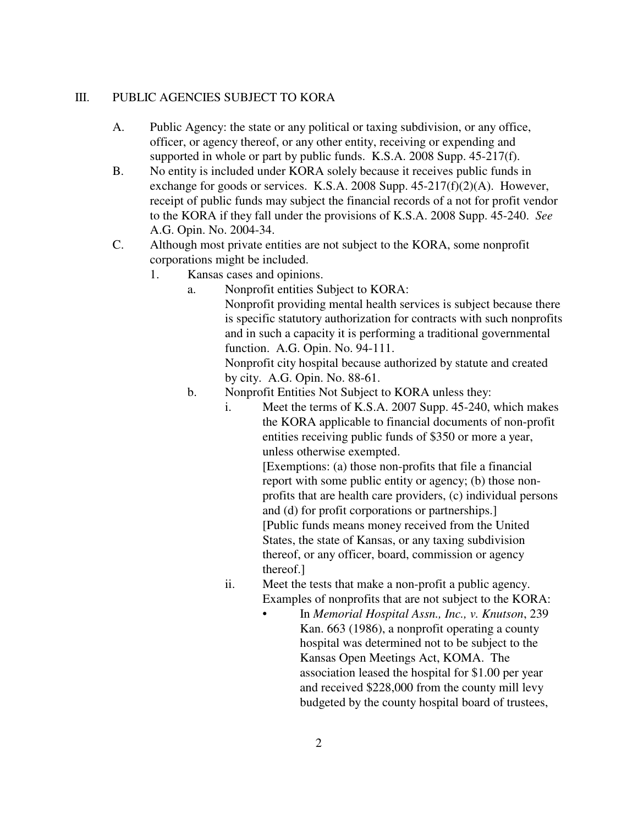#### III. PUBLIC AGENCIES SUBJECT TO KORA

- A. Public Agency: the state or any political or taxing subdivision, or any office, officer, or agency thereof, or any other entity, receiving or expending and supported in whole or part by public funds. K.S.A. 2008 Supp. 45-217(f).
- B. No entity is included under KORA solely because it receives public funds in exchange for goods or services. K.S.A. 2008 Supp.  $45-217(f)(2)(A)$ . However, receipt of public funds may subject the financial records of a not for profit vendor to the KORA if they fall under the provisions of K.S.A. 2008 Supp. 45-240. *See* A.G. Opin. No. 2004-34.
- C. Although most private entities are not subject to the KORA, some nonprofit corporations might be included.
	- 1. Kansas cases and opinions.
		- a. Nonprofit entities Subject to KORA: Nonprofit providing mental health services is subject because there is specific statutory authorization for contracts with such nonprofits and in such a capacity it is performing a traditional governmental function. A.G. Opin. No. 94-111. Nonprofit city hospital because authorized by statute and created

by city. A.G. Opin. No. 88-61.

- b. Nonprofit Entities Not Subject to KORA unless they:
	- i. Meet the terms of K.S.A. 2007 Supp. 45-240, which makes the KORA applicable to financial documents of non-profit entities receiving public funds of \$350 or more a year, unless otherwise exempted.

[Exemptions: (a) those non-profits that file a financial report with some public entity or agency; (b) those nonprofits that are health care providers, (c) individual persons and (d) for profit corporations or partnerships.] [Public funds means money received from the United States, the state of Kansas, or any taxing subdivision thereof, or any officer, board, commission or agency thereof.]

- ii. Meet the tests that make a non-profit a public agency. Examples of nonprofits that are not subject to the KORA:
	- In *Memorial Hospital Assn., Inc., v. Knutson*, 239 Kan. 663 (1986), a nonprofit operating a county hospital was determined not to be subject to the Kansas Open Meetings Act, KOMA. The association leased the hospital for \$1.00 per year and received \$228,000 from the county mill levy budgeted by the county hospital board of trustees,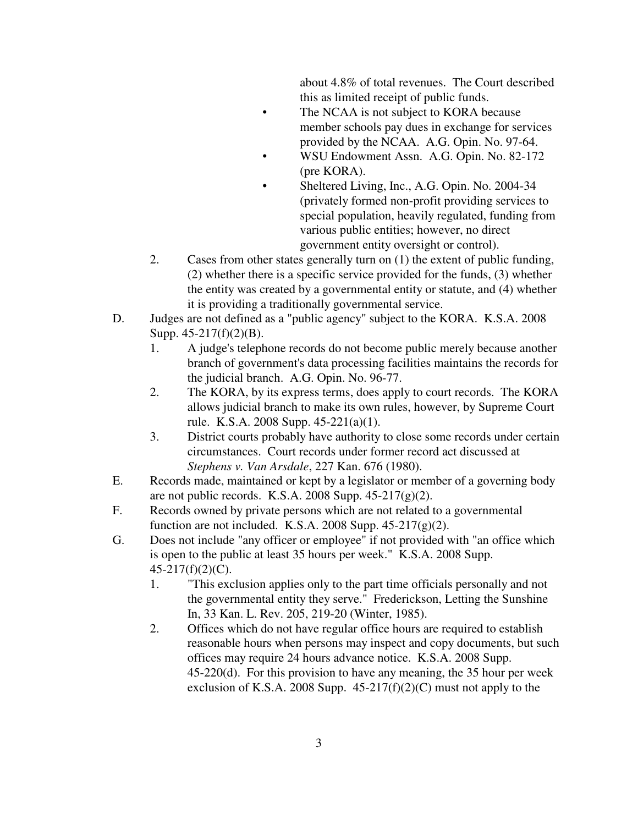about 4.8% of total revenues. The Court described this as limited receipt of public funds.

- The NCAA is not subject to KORA because member schools pay dues in exchange for services provided by the NCAA. A.G. Opin. No. 97-64.
- WSU Endowment Assn. A.G. Opin. No. 82-172 (pre KORA).
- Sheltered Living, Inc., A.G. Opin. No. 2004-34 (privately formed non-profit providing services to special population, heavily regulated, funding from various public entities; however, no direct government entity oversight or control).
- 2. Cases from other states generally turn on (1) the extent of public funding, (2) whether there is a specific service provided for the funds, (3) whether the entity was created by a governmental entity or statute, and (4) whether it is providing a traditionally governmental service.
- D. Judges are not defined as a "public agency" subject to the KORA. K.S.A. 2008 Supp. 45-217(f)(2)(B).
	- 1. A judge's telephone records do not become public merely because another branch of government's data processing facilities maintains the records for the judicial branch. A.G. Opin. No. 96-77.
	- 2. The KORA, by its express terms, does apply to court records. The KORA allows judicial branch to make its own rules, however, by Supreme Court rule. K.S.A. 2008 Supp. 45-221(a)(1).
	- 3. District courts probably have authority to close some records under certain circumstances. Court records under former record act discussed at *Stephens v. Van Arsdale*, 227 Kan. 676 (1980).
- E. Records made, maintained or kept by a legislator or member of a governing body are not public records. K.S.A. 2008 Supp.  $45-217(g)(2)$ .
- F. Records owned by private persons which are not related to a governmental function are not included. K.S.A. 2008 Supp.  $45-217(g)(2)$ .
- G. Does not include "any officer or employee" if not provided with "an office which is open to the public at least 35 hours per week." K.S.A. 2008 Supp. 45-217(f)(2)(C).
	- 1. "This exclusion applies only to the part time officials personally and not the governmental entity they serve." Frederickson, Letting the Sunshine In, 33 Kan. L. Rev. 205, 219-20 (Winter, 1985).
	- 2. Offices which do not have regular office hours are required to establish reasonable hours when persons may inspect and copy documents, but such offices may require 24 hours advance notice. K.S.A. 2008 Supp. 45-220(d). For this provision to have any meaning, the 35 hour per week exclusion of K.S.A. 2008 Supp.  $45-217(f)(2)(C)$  must not apply to the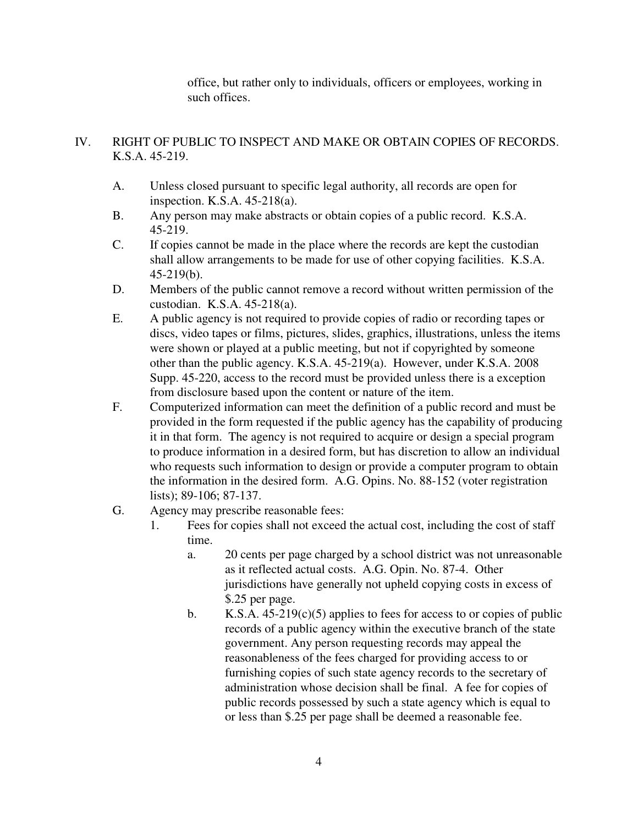office, but rather only to individuals, officers or employees, working in such offices.

### IV. RIGHT OF PUBLIC TO INSPECT AND MAKE OR OBTAIN COPIES OF RECORDS. K.S.A. 45-219.

- A. Unless closed pursuant to specific legal authority, all records are open for inspection. K.S.A. 45-218(a).
- B. Any person may make abstracts or obtain copies of a public record. K.S.A. 45-219.
- C. If copies cannot be made in the place where the records are kept the custodian shall allow arrangements to be made for use of other copying facilities. K.S.A. 45-219(b).
- D. Members of the public cannot remove a record without written permission of the custodian. K.S.A. 45-218(a).
- E. A public agency is not required to provide copies of radio or recording tapes or discs, video tapes or films, pictures, slides, graphics, illustrations, unless the items were shown or played at a public meeting, but not if copyrighted by someone other than the public agency. K.S.A. 45-219(a). However, under K.S.A. 2008 Supp. 45-220, access to the record must be provided unless there is a exception from disclosure based upon the content or nature of the item.
- F. Computerized information can meet the definition of a public record and must be provided in the form requested if the public agency has the capability of producing it in that form. The agency is not required to acquire or design a special program to produce information in a desired form, but has discretion to allow an individual who requests such information to design or provide a computer program to obtain the information in the desired form. A.G. Opins. No. 88-152 (voter registration lists); 89-106; 87-137.
- G. Agency may prescribe reasonable fees:
	- 1. Fees for copies shall not exceed the actual cost, including the cost of staff time.
		- a. 20 cents per page charged by a school district was not unreasonable as it reflected actual costs. A.G. Opin. No. 87-4. Other jurisdictions have generally not upheld copying costs in excess of \$.25 per page.
		- b. K.S.A.  $45-219(c)(5)$  applies to fees for access to or copies of public records of a public agency within the executive branch of the state government. Any person requesting records may appeal the reasonableness of the fees charged for providing access to or furnishing copies of such state agency records to the secretary of administration whose decision shall be final. A fee for copies of public records possessed by such a state agency which is equal to or less than \$.25 per page shall be deemed a reasonable fee.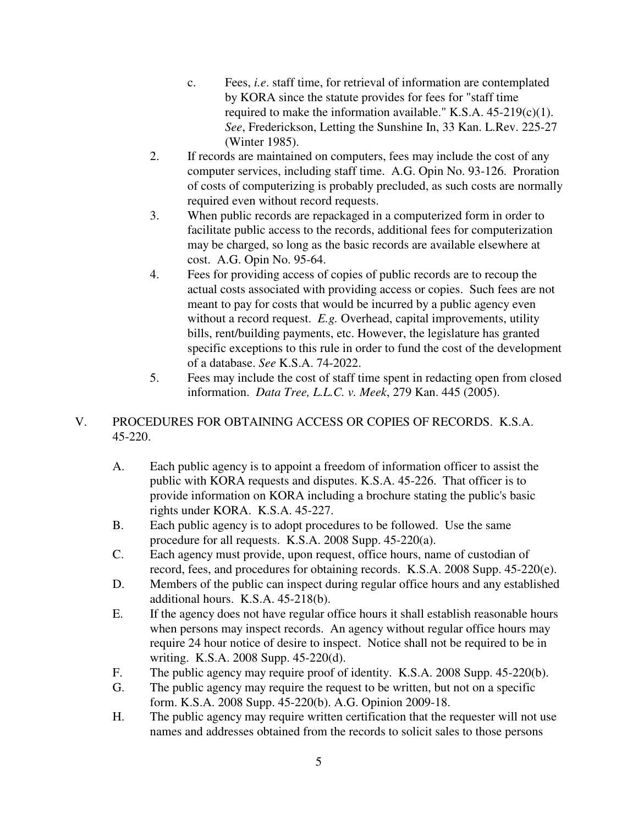- c. Fees, *i.e*. staff time, for retrieval of information are contemplated by KORA since the statute provides for fees for "staff time required to make the information available." K.S.A.  $45-219(c)(1)$ . *See*, Frederickson, Letting the Sunshine In, 33 Kan. L.Rev. 225-27 (Winter 1985).
- 2. If records are maintained on computers, fees may include the cost of any computer services, including staff time. A.G. Opin No. 93-126. Proration of costs of computerizing is probably precluded, as such costs are normally required even without record requests.
- 3. When public records are repackaged in a computerized form in order to facilitate public access to the records, additional fees for computerization may be charged, so long as the basic records are available elsewhere at cost. A.G. Opin No. 95-64.
- 4. Fees for providing access of copies of public records are to recoup the actual costs associated with providing access or copies. Such fees are not meant to pay for costs that would be incurred by a public agency even without a record request. *E.g.* Overhead, capital improvements, utility bills, rent/building payments, etc. However, the legislature has granted specific exceptions to this rule in order to fund the cost of the development of a database. *See* K.S.A. 74-2022.
- 5. Fees may include the cost of staff time spent in redacting open from closed information. *Data Tree, L.L.C. v. Meek*, 279 Kan. 445 (2005).

# V. PROCEDURES FOR OBTAINING ACCESS OR COPIES OF RECORDS. K.S.A. 45-220.

- A. Each public agency is to appoint a freedom of information officer to assist the public with KORA requests and disputes. K.S.A. 45-226. That officer is to provide information on KORA including a brochure stating the public's basic rights under KORA. K.S.A. 45-227.
- B. Each public agency is to adopt procedures to be followed. Use the same procedure for all requests. K.S.A. 2008 Supp. 45-220(a).
- C. Each agency must provide, upon request, office hours, name of custodian of record, fees, and procedures for obtaining records. K.S.A. 2008 Supp. 45-220(e).
- D. Members of the public can inspect during regular office hours and any established additional hours. K.S.A. 45-218(b).
- E. If the agency does not have regular office hours it shall establish reasonable hours when persons may inspect records. An agency without regular office hours may require 24 hour notice of desire to inspect. Notice shall not be required to be in writing. K.S.A. 2008 Supp. 45-220(d).
- F. The public agency may require proof of identity. K.S.A. 2008 Supp. 45-220(b).
- G. The public agency may require the request to be written, but not on a specific form. K.S.A. 2008 Supp. 45-220(b). A.G. Opinion 2009-18.
- H. The public agency may require written certification that the requester will not use names and addresses obtained from the records to solicit sales to those persons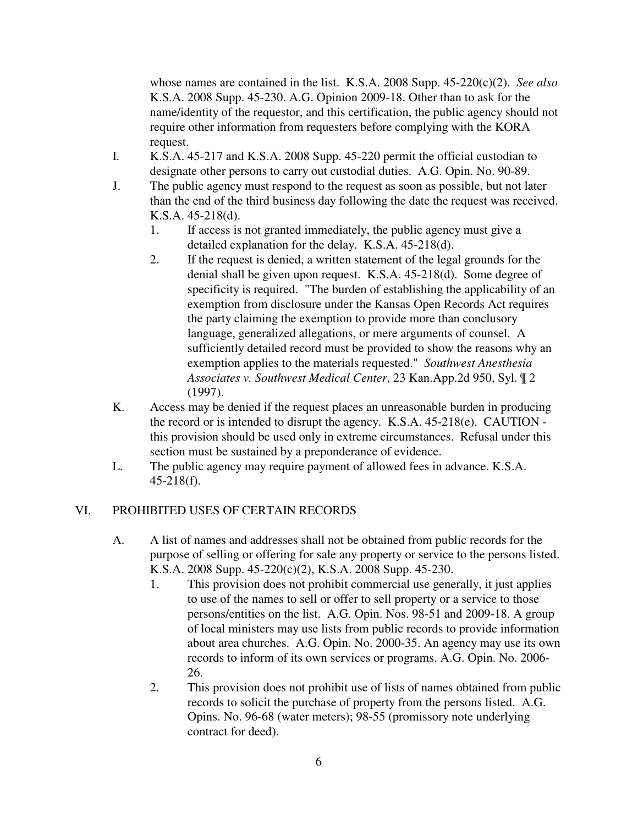whose names are contained in the list. K.S.A. 2008 Supp. 45-220(c)(2). *See also* K.S.A. 2008 Supp. 45-230. A.G. Opinion 2009-18. Other than to ask for the name/identity of the requestor, and this certification, the public agency should not require other information from requesters before complying with the KORA request.

- I. K.S.A. 45-217 and K.S.A. 2008 Supp. 45-220 permit the official custodian to designate other persons to carry out custodial duties. A.G. Opin. No. 90-89.
- J. The public agency must respond to the request as soon as possible, but not later than the end of the third business day following the date the request was received. K.S.A. 45-218(d).
	- 1. If access is not granted immediately, the public agency must give a detailed explanation for the delay. K.S.A. 45-218(d).
	- 2. If the request is denied, a written statement of the legal grounds for the denial shall be given upon request. K.S.A. 45-218(d). Some degree of specificity is required. "The burden of establishing the applicability of an exemption from disclosure under the Kansas Open Records Act requires the party claiming the exemption to provide more than conclusory language, generalized allegations, or mere arguments of counsel. A sufficiently detailed record must be provided to show the reasons why an exemption applies to the materials requested." *Southwest Anesthesia Associates v. Southwest Medical Center*, 23 Kan.App.2d 950, Syl. ¶ 2 (1997).
- K. Access may be denied if the request places an unreasonable burden in producing the record or is intended to disrupt the agency. K.S.A. 45-218(e). CAUTION this provision should be used only in extreme circumstances. Refusal under this section must be sustained by a preponderance of evidence.
- L. The public agency may require payment of allowed fees in advance. K.S.A. 45-218(f).

### VI. PROHIBITED USES OF CERTAIN RECORDS

- A. A list of names and addresses shall not be obtained from public records for the purpose of selling or offering for sale any property or service to the persons listed. K.S.A. 2008 Supp. 45-220(c)(2), K.S.A. 2008 Supp. 45-230.
	- 1. This provision does not prohibit commercial use generally, it just applies to use of the names to sell or offer to sell property or a service to those persons/entities on the list. A.G. Opin. Nos. 98-51 and 2009-18. A group of local ministers may use lists from public records to provide information about area churches. A.G. Opin. No. 2000-35. An agency may use its own records to inform of its own services or programs. A.G. Opin. No. 2006- 26.
	- 2. This provision does not prohibit use of lists of names obtained from public records to solicit the purchase of property from the persons listed. A.G. Opins. No. 96-68 (water meters); 98-55 (promissory note underlying contract for deed).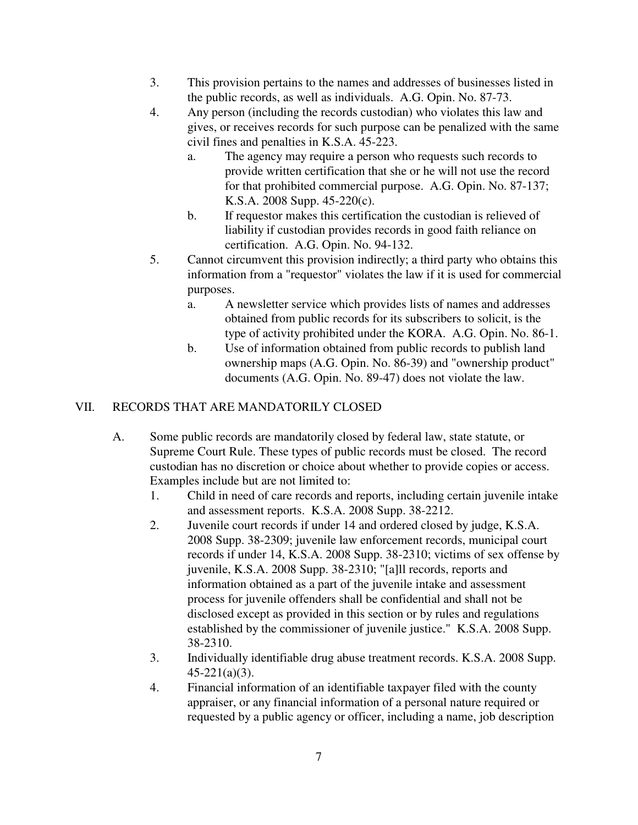- 3. This provision pertains to the names and addresses of businesses listed in the public records, as well as individuals. A.G. Opin. No. 87-73.
- 4. Any person (including the records custodian) who violates this law and gives, or receives records for such purpose can be penalized with the same civil fines and penalties in K.S.A. 45-223.
	- a. The agency may require a person who requests such records to provide written certification that she or he will not use the record for that prohibited commercial purpose. A.G. Opin. No. 87-137; K.S.A. 2008 Supp. 45-220(c).
	- b. If requestor makes this certification the custodian is relieved of liability if custodian provides records in good faith reliance on certification. A.G. Opin. No. 94-132.
- 5. Cannot circumvent this provision indirectly; a third party who obtains this information from a "requestor" violates the law if it is used for commercial purposes.
	- a. A newsletter service which provides lists of names and addresses obtained from public records for its subscribers to solicit, is the type of activity prohibited under the KORA. A.G. Opin. No. 86-1.
	- b. Use of information obtained from public records to publish land ownership maps (A.G. Opin. No. 86-39) and "ownership product" documents (A.G. Opin. No. 89-47) does not violate the law.

### VII. RECORDS THAT ARE MANDATORILY CLOSED

- A. Some public records are mandatorily closed by federal law, state statute, or Supreme Court Rule. These types of public records must be closed. The record custodian has no discretion or choice about whether to provide copies or access. Examples include but are not limited to:
	- 1. Child in need of care records and reports, including certain juvenile intake and assessment reports. K.S.A. 2008 Supp. 38-2212.
	- 2. Juvenile court records if under 14 and ordered closed by judge, K.S.A. 2008 Supp. 38-2309; juvenile law enforcement records, municipal court records if under 14, K.S.A. 2008 Supp. 38-2310; victims of sex offense by juvenile, K.S.A. 2008 Supp. 38-2310; "[a]ll records, reports and information obtained as a part of the juvenile intake and assessment process for juvenile offenders shall be confidential and shall not be disclosed except as provided in this section or by rules and regulations established by the commissioner of juvenile justice." K.S.A. 2008 Supp. 38-2310.
	- 3. Individually identifiable drug abuse treatment records. K.S.A. 2008 Supp. 45-221(a)(3).
	- 4. Financial information of an identifiable taxpayer filed with the county appraiser, or any financial information of a personal nature required or requested by a public agency or officer, including a name, job description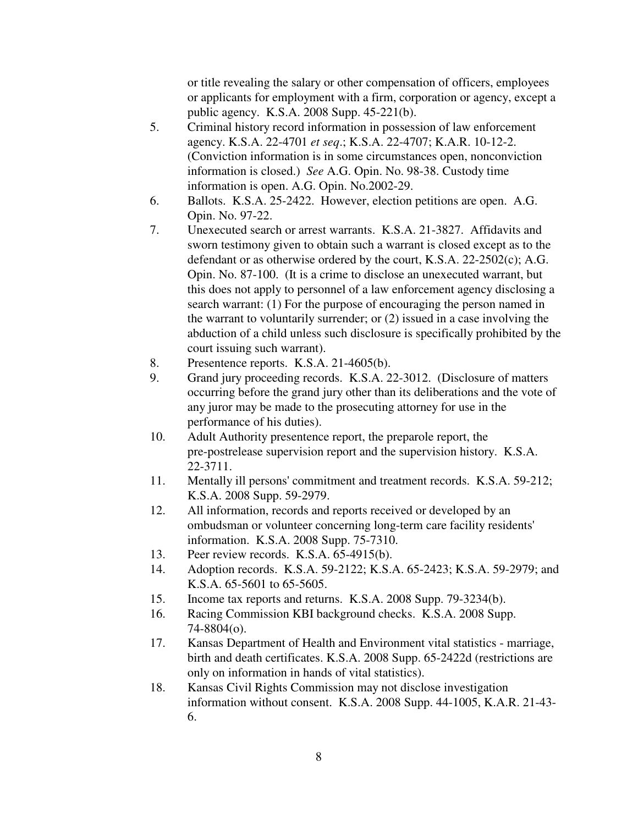or title revealing the salary or other compensation of officers, employees or applicants for employment with a firm, corporation or agency, except a public agency. K.S.A. 2008 Supp. 45-221(b).

- 5. Criminal history record information in possession of law enforcement agency. K.S.A. 22-4701 *et seq*.; K.S.A. 22-4707; K.A.R. 10-12-2. (Conviction information is in some circumstances open, nonconviction information is closed.) *See* A.G. Opin. No. 98-38. Custody time information is open. A.G. Opin. No.2002-29.
- 6. Ballots. K.S.A. 25-2422. However, election petitions are open. A.G. Opin. No. 97-22.
- 7. Unexecuted search or arrest warrants. K.S.A. 21-3827. Affidavits and sworn testimony given to obtain such a warrant is closed except as to the defendant or as otherwise ordered by the court, K.S.A. 22-2502(c); A.G. Opin. No. 87-100. (It is a crime to disclose an unexecuted warrant, but this does not apply to personnel of a law enforcement agency disclosing a search warrant: (1) For the purpose of encouraging the person named in the warrant to voluntarily surrender; or (2) issued in a case involving the abduction of a child unless such disclosure is specifically prohibited by the court issuing such warrant).
- 8. Presentence reports. K.S.A. 21-4605(b).
- 9. Grand jury proceeding records. K.S.A. 22-3012. (Disclosure of matters occurring before the grand jury other than its deliberations and the vote of any juror may be made to the prosecuting attorney for use in the performance of his duties).
- 10. Adult Authority presentence report, the preparole report, the pre-postrelease supervision report and the supervision history. K.S.A. 22-3711.
- 11. Mentally ill persons' commitment and treatment records. K.S.A. 59-212; K.S.A. 2008 Supp. 59-2979.
- 12. All information, records and reports received or developed by an ombudsman or volunteer concerning long-term care facility residents' information. K.S.A. 2008 Supp. 75-7310.
- 13. Peer review records. K.S.A. 65-4915(b).
- 14. Adoption records. K.S.A. 59-2122; K.S.A. 65-2423; K.S.A. 59-2979; and K.S.A. 65-5601 to 65-5605.
- 15. Income tax reports and returns. K.S.A. 2008 Supp. 79-3234(b).
- 16. Racing Commission KBI background checks. K.S.A. 2008 Supp. 74-8804(o).
- 17. Kansas Department of Health and Environment vital statistics marriage, birth and death certificates. K.S.A. 2008 Supp. 65-2422d (restrictions are only on information in hands of vital statistics).
- 18. Kansas Civil Rights Commission may not disclose investigation information without consent. K.S.A. 2008 Supp. 44-1005, K.A.R. 21-43- 6.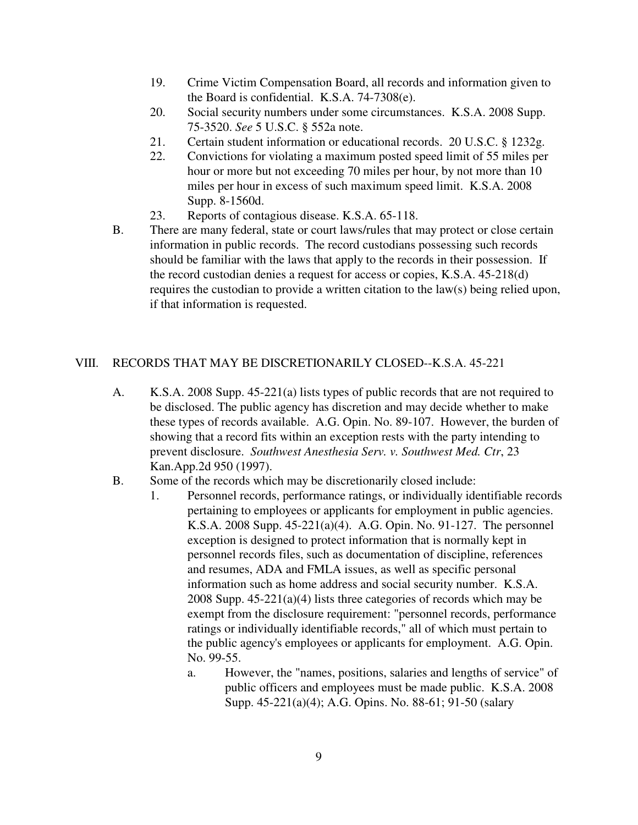- 19. Crime Victim Compensation Board, all records and information given to the Board is confidential. K.S.A. 74-7308(e).
- 20. Social security numbers under some circumstances. K.S.A. 2008 Supp. 75-3520. *See* 5 U.S.C. § 552a note.
- 21. Certain student information or educational records. 20 U.S.C. § 1232g.
- 22. Convictions for violating a maximum posted speed limit of 55 miles per hour or more but not exceeding 70 miles per hour, by not more than 10 miles per hour in excess of such maximum speed limit. K.S.A. 2008 Supp. 8-1560d.
- 23. Reports of contagious disease. K.S.A. 65-118.
- B. There are many federal, state or court laws/rules that may protect or close certain information in public records. The record custodians possessing such records should be familiar with the laws that apply to the records in their possession. If the record custodian denies a request for access or copies, K.S.A. 45-218(d) requires the custodian to provide a written citation to the law(s) being relied upon, if that information is requested.

### VIII. RECORDS THAT MAY BE DISCRETIONARILY CLOSED--K.S.A. 45-221

- A. K.S.A. 2008 Supp. 45-221(a) lists types of public records that are not required to be disclosed. The public agency has discretion and may decide whether to make these types of records available. A.G. Opin. No. 89-107. However, the burden of showing that a record fits within an exception rests with the party intending to prevent disclosure. *Southwest Anesthesia Serv. v. Southwest Med. Ctr*, 23 Kan.App.2d 950 (1997).
- B. Some of the records which may be discretionarily closed include:
	- 1. Personnel records, performance ratings, or individually identifiable records pertaining to employees or applicants for employment in public agencies. K.S.A. 2008 Supp. 45-221(a)(4). A.G. Opin. No. 91-127. The personnel exception is designed to protect information that is normally kept in personnel records files, such as documentation of discipline, references and resumes, ADA and FMLA issues, as well as specific personal information such as home address and social security number. K.S.A. 2008 Supp. 45-221(a)(4) lists three categories of records which may be exempt from the disclosure requirement: "personnel records, performance ratings or individually identifiable records," all of which must pertain to the public agency's employees or applicants for employment. A.G. Opin. No. 99-55.
		- a. However, the "names, positions, salaries and lengths of service" of public officers and employees must be made public. K.S.A. 2008 Supp. 45-221(a)(4); A.G. Opins. No. 88-61; 91-50 (salary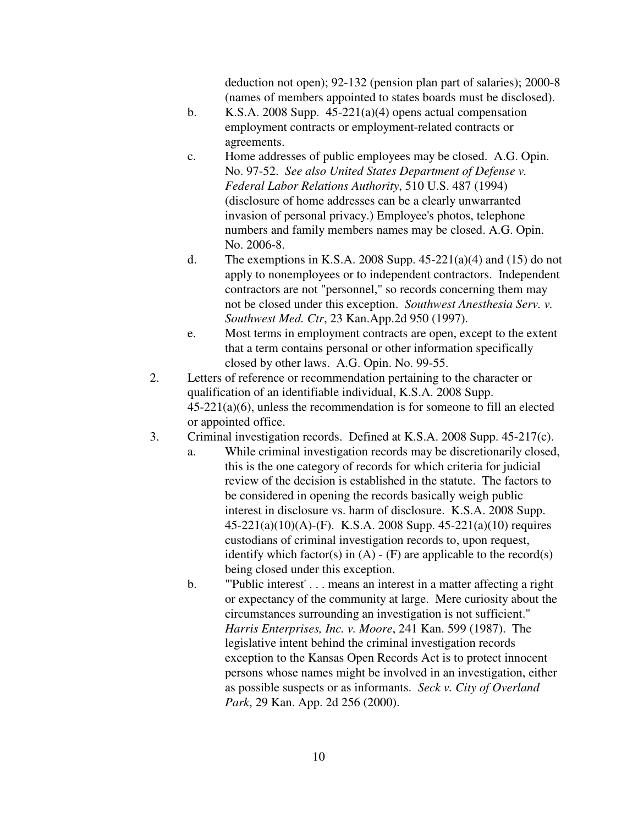deduction not open); 92-132 (pension plan part of salaries); 2000-8 (names of members appointed to states boards must be disclosed).

- b. K.S.A. 2008 Supp.  $45-221(a)(4)$  opens actual compensation employment contracts or employment-related contracts or agreements.
- c. Home addresses of public employees may be closed. A.G. Opin. No. 97-52. *See also United States Department of Defense v. Federal Labor Relations Authority*, 510 U.S. 487 (1994) (disclosure of home addresses can be a clearly unwarranted invasion of personal privacy.) Employee's photos, telephone numbers and family members names may be closed. A.G. Opin. No. 2006-8.
- d. The exemptions in K.S.A. 2008 Supp.  $45-221(a)(4)$  and  $(15)$  do not apply to nonemployees or to independent contractors. Independent contractors are not "personnel," so records concerning them may not be closed under this exception. *Southwest Anesthesia Serv. v. Southwest Med. Ctr*, 23 Kan.App.2d 950 (1997).
- e. Most terms in employment contracts are open, except to the extent that a term contains personal or other information specifically closed by other laws. A.G. Opin. No. 99-55.
- 2. Letters of reference or recommendation pertaining to the character or qualification of an identifiable individual, K.S.A. 2008 Supp. 45-221(a)(6), unless the recommendation is for someone to fill an elected or appointed office.
- 3. Criminal investigation records. Defined at K.S.A. 2008 Supp. 45-217(c).
	- a. While criminal investigation records may be discretionarily closed, this is the one category of records for which criteria for judicial review of the decision is established in the statute. The factors to be considered in opening the records basically weigh public interest in disclosure vs. harm of disclosure. K.S.A. 2008 Supp. 45-221(a)(10)(A)-(F). K.S.A. 2008 Supp. 45-221(a)(10) requires custodians of criminal investigation records to, upon request, identify which factor(s) in  $(A) - (F)$  are applicable to the record(s) being closed under this exception.
	- b. "'Public interest' . . . means an interest in a matter affecting a right or expectancy of the community at large. Mere curiosity about the circumstances surrounding an investigation is not sufficient." *Harris Enterprises, Inc. v. Moore*, 241 Kan. 599 (1987). The legislative intent behind the criminal investigation records exception to the Kansas Open Records Act is to protect innocent persons whose names might be involved in an investigation, either as possible suspects or as informants. *Seck v. City of Overland Park*, 29 Kan. App. 2d 256 (2000).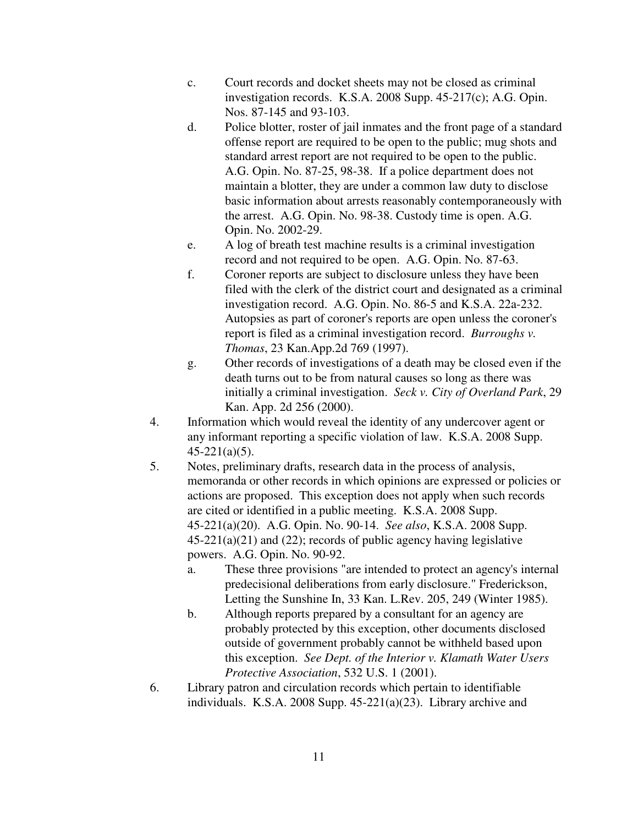- c. Court records and docket sheets may not be closed as criminal investigation records. K.S.A. 2008 Supp. 45-217(c); A.G. Opin. Nos. 87-145 and 93-103.
- d. Police blotter, roster of jail inmates and the front page of a standard offense report are required to be open to the public; mug shots and standard arrest report are not required to be open to the public. A.G. Opin. No. 87-25, 98-38. If a police department does not maintain a blotter, they are under a common law duty to disclose basic information about arrests reasonably contemporaneously with the arrest. A.G. Opin. No. 98-38. Custody time is open. A.G. Opin. No. 2002-29.
- e. A log of breath test machine results is a criminal investigation record and not required to be open. A.G. Opin. No. 87-63.
- f. Coroner reports are subject to disclosure unless they have been filed with the clerk of the district court and designated as a criminal investigation record. A.G. Opin. No. 86-5 and K.S.A. 22a-232. Autopsies as part of coroner's reports are open unless the coroner's report is filed as a criminal investigation record. *Burroughs v. Thomas*, 23 Kan.App.2d 769 (1997).
- g. Other records of investigations of a death may be closed even if the death turns out to be from natural causes so long as there was initially a criminal investigation. *Seck v. City of Overland Park*, 29 Kan. App. 2d 256 (2000).
- 4. Information which would reveal the identity of any undercover agent or any informant reporting a specific violation of law. K.S.A. 2008 Supp. 45-221(a)(5).
- 5. Notes, preliminary drafts, research data in the process of analysis, memoranda or other records in which opinions are expressed or policies or actions are proposed. This exception does not apply when such records are cited or identified in a public meeting. K.S.A. 2008 Supp. 45-221(a)(20). A.G. Opin. No. 90-14. *See also*, K.S.A. 2008 Supp.  $45-221(a)(21)$  and  $(22)$ ; records of public agency having legislative powers. A.G. Opin. No. 90-92.
	- a. These three provisions "are intended to protect an agency's internal predecisional deliberations from early disclosure." Frederickson, Letting the Sunshine In, 33 Kan. L.Rev. 205, 249 (Winter 1985).
	- b. Although reports prepared by a consultant for an agency are probably protected by this exception, other documents disclosed outside of government probably cannot be withheld based upon this exception. *See Dept. of the Interior v. Klamath Water Users Protective Association*, 532 U.S. 1 (2001).
- 6. Library patron and circulation records which pertain to identifiable individuals. K.S.A. 2008 Supp. 45-221(a)(23). Library archive and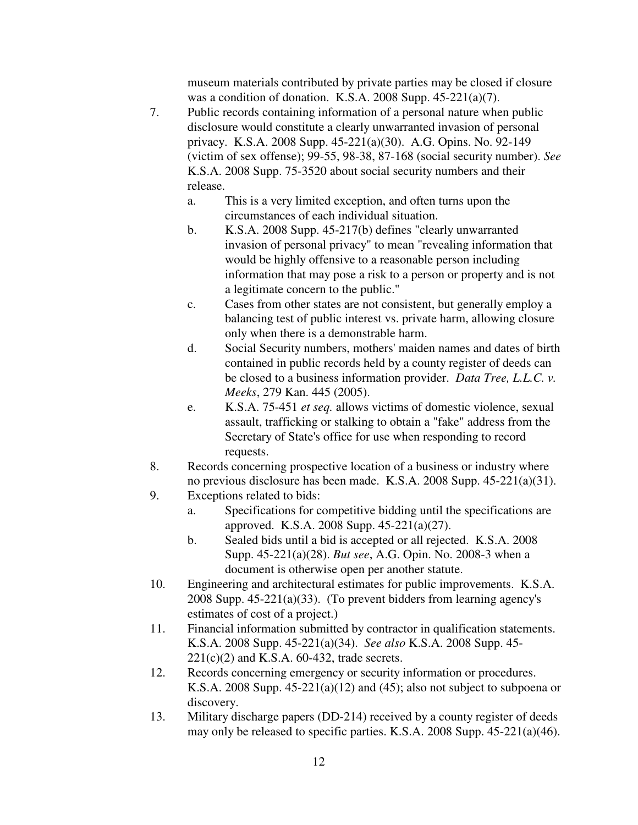museum materials contributed by private parties may be closed if closure was a condition of donation. K.S.A. 2008 Supp. 45-221(a)(7).

- 7. Public records containing information of a personal nature when public disclosure would constitute a clearly unwarranted invasion of personal privacy. K.S.A. 2008 Supp. 45-221(a)(30). A.G. Opins. No. 92-149 (victim of sex offense); 99-55, 98-38, 87-168 (social security number). *See* K.S.A. 2008 Supp. 75-3520 about social security numbers and their release.
	- a. This is a very limited exception, and often turns upon the circumstances of each individual situation.
	- b. K.S.A. 2008 Supp. 45-217(b) defines "clearly unwarranted invasion of personal privacy" to mean "revealing information that would be highly offensive to a reasonable person including information that may pose a risk to a person or property and is not a legitimate concern to the public."
	- c. Cases from other states are not consistent, but generally employ a balancing test of public interest vs. private harm, allowing closure only when there is a demonstrable harm.
	- d. Social Security numbers, mothers' maiden names and dates of birth contained in public records held by a county register of deeds can be closed to a business information provider. *Data Tree, L.L.C. v. Meeks*, 279 Kan. 445 (2005).
	- e. K.S.A. 75-451 *et seq.* allows victims of domestic violence, sexual assault, trafficking or stalking to obtain a "fake" address from the Secretary of State's office for use when responding to record requests.
- 8. Records concerning prospective location of a business or industry where no previous disclosure has been made. K.S.A. 2008 Supp. 45-221(a)(31).
- 9. Exceptions related to bids:
	- a. Specifications for competitive bidding until the specifications are approved. K.S.A. 2008 Supp. 45-221(a)(27).
	- b. Sealed bids until a bid is accepted or all rejected. K.S.A. 2008 Supp. 45-221(a)(28). *But see*, A.G. Opin. No. 2008-3 when a document is otherwise open per another statute.
- 10. Engineering and architectural estimates for public improvements. K.S.A. 2008 Supp. 45-221(a)(33). (To prevent bidders from learning agency's estimates of cost of a project.)
- 11. Financial information submitted by contractor in qualification statements. K.S.A. 2008 Supp. 45-221(a)(34). *See also* K.S.A. 2008 Supp. 45-  $221(c)(2)$  and K.S.A. 60-432, trade secrets.
- 12. Records concerning emergency or security information or procedures. K.S.A. 2008 Supp.  $45-221(a)(12)$  and  $(45)$ ; also not subject to subpoena or discovery.
- 13. Military discharge papers (DD-214) received by a county register of deeds may only be released to specific parties. K.S.A. 2008 Supp. 45-221(a)(46).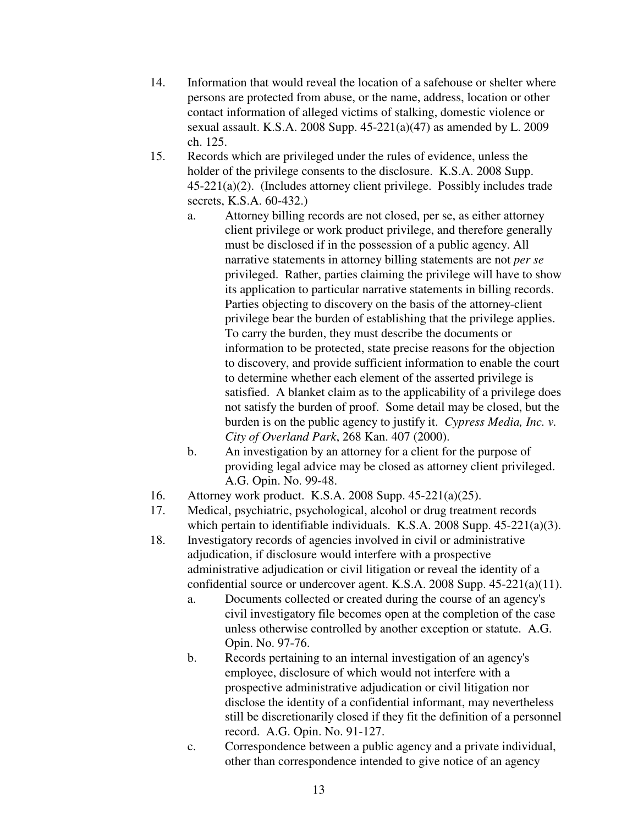- 14. Information that would reveal the location of a safehouse or shelter where persons are protected from abuse, or the name, address, location or other contact information of alleged victims of stalking, domestic violence or sexual assault. K.S.A. 2008 Supp. 45-221(a)(47) as amended by L. 2009 ch. 125.
- 15. Records which are privileged under the rules of evidence, unless the holder of the privilege consents to the disclosure. K.S.A. 2008 Supp. 45-221(a)(2). (Includes attorney client privilege. Possibly includes trade secrets, K.S.A. 60-432.)
	- a. Attorney billing records are not closed, per se, as either attorney client privilege or work product privilege, and therefore generally must be disclosed if in the possession of a public agency. All narrative statements in attorney billing statements are not *per se* privileged. Rather, parties claiming the privilege will have to show its application to particular narrative statements in billing records. Parties objecting to discovery on the basis of the attorney-client privilege bear the burden of establishing that the privilege applies. To carry the burden, they must describe the documents or information to be protected, state precise reasons for the objection to discovery, and provide sufficient information to enable the court to determine whether each element of the asserted privilege is satisfied. A blanket claim as to the applicability of a privilege does not satisfy the burden of proof. Some detail may be closed, but the burden is on the public agency to justify it. *Cypress Media, Inc. v. City of Overland Park*, 268 Kan. 407 (2000).
	- b. An investigation by an attorney for a client for the purpose of providing legal advice may be closed as attorney client privileged. A.G. Opin. No. 99-48.
- 16. Attorney work product. K.S.A. 2008 Supp. 45-221(a)(25).
- 17. Medical, psychiatric, psychological, alcohol or drug treatment records which pertain to identifiable individuals. K.S.A. 2008 Supp. 45-221(a)(3).
- 18. Investigatory records of agencies involved in civil or administrative adjudication, if disclosure would interfere with a prospective administrative adjudication or civil litigation or reveal the identity of a confidential source or undercover agent. K.S.A. 2008 Supp. 45-221(a)(11).
	- a. Documents collected or created during the course of an agency's civil investigatory file becomes open at the completion of the case unless otherwise controlled by another exception or statute. A.G. Opin. No. 97-76.
	- b. Records pertaining to an internal investigation of an agency's employee, disclosure of which would not interfere with a prospective administrative adjudication or civil litigation nor disclose the identity of a confidential informant, may nevertheless still be discretionarily closed if they fit the definition of a personnel record. A.G. Opin. No. 91-127.
	- c. Correspondence between a public agency and a private individual, other than correspondence intended to give notice of an agency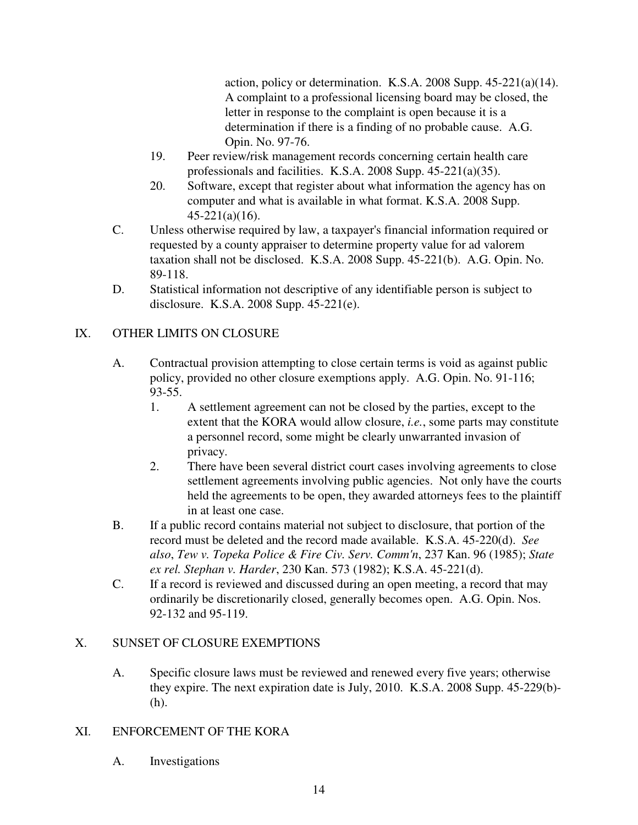action, policy or determination. K.S.A. 2008 Supp. 45-221(a)(14). A complaint to a professional licensing board may be closed, the letter in response to the complaint is open because it is a determination if there is a finding of no probable cause. A.G. Opin. No. 97-76.

- 19. Peer review/risk management records concerning certain health care professionals and facilities. K.S.A. 2008 Supp. 45-221(a)(35).
- 20. Software, except that register about what information the agency has on computer and what is available in what format. K.S.A. 2008 Supp. 45-221(a)(16).
- C. Unless otherwise required by law, a taxpayer's financial information required or requested by a county appraiser to determine property value for ad valorem taxation shall not be disclosed. K.S.A. 2008 Supp. 45-221(b). A.G. Opin. No. 89-118.
- D. Statistical information not descriptive of any identifiable person is subject to disclosure. K.S.A. 2008 Supp. 45-221(e).

# IX. OTHER LIMITS ON CLOSURE

- A. Contractual provision attempting to close certain terms is void as against public policy, provided no other closure exemptions apply. A.G. Opin. No. 91-116; 93-55.
	- 1. A settlement agreement can not be closed by the parties, except to the extent that the KORA would allow closure, *i.e.*, some parts may constitute a personnel record, some might be clearly unwarranted invasion of privacy.
	- 2. There have been several district court cases involving agreements to close settlement agreements involving public agencies. Not only have the courts held the agreements to be open, they awarded attorneys fees to the plaintiff in at least one case.
- B. If a public record contains material not subject to disclosure, that portion of the record must be deleted and the record made available. K.S.A. 45-220(d). *See also*, *Tew v. Topeka Police & Fire Civ. Serv. Comm'n*, 237 Kan. 96 (1985); *State ex rel. Stephan v. Harder*, 230 Kan. 573 (1982); K.S.A. 45-221(d).
- C. If a record is reviewed and discussed during an open meeting, a record that may ordinarily be discretionarily closed, generally becomes open. A.G. Opin. Nos. 92-132 and 95-119.

### X. SUNSET OF CLOSURE EXEMPTIONS

A. Specific closure laws must be reviewed and renewed every five years; otherwise they expire. The next expiration date is July, 2010. K.S.A. 2008 Supp. 45-229(b)- (h).

### XI. ENFORCEMENT OF THE KORA

A. Investigations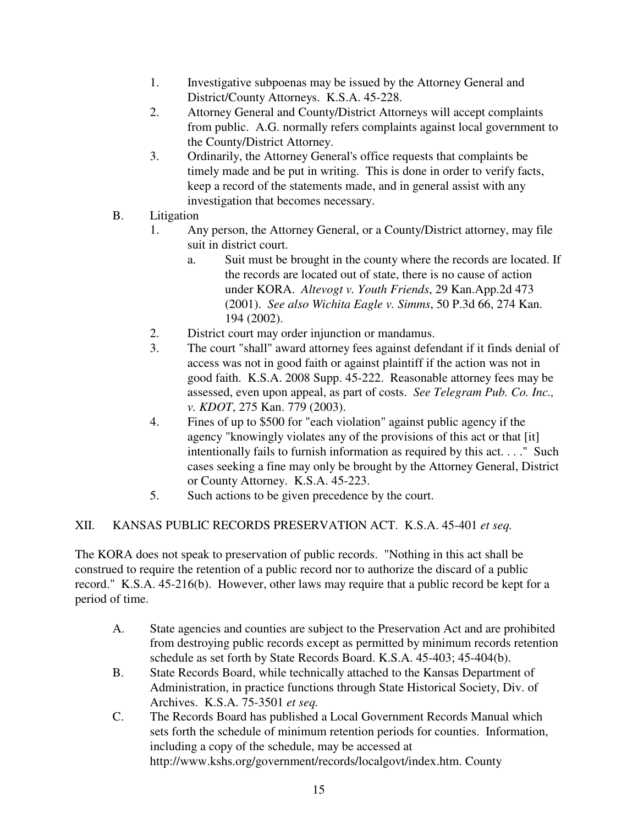- 1. Investigative subpoenas may be issued by the Attorney General and District/County Attorneys. K.S.A. 45-228.
- 2. Attorney General and County/District Attorneys will accept complaints from public. A.G. normally refers complaints against local government to the County/District Attorney.
- 3. Ordinarily, the Attorney General's office requests that complaints be timely made and be put in writing. This is done in order to verify facts, keep a record of the statements made, and in general assist with any investigation that becomes necessary.
- B. Litigation
	- 1. Any person, the Attorney General, or a County/District attorney, may file suit in district court.
		- a. Suit must be brought in the county where the records are located. If the records are located out of state, there is no cause of action under KORA. *Altevogt v. Youth Friends*, 29 Kan.App.2d 473 (2001). *See also Wichita Eagle v. Simms*, 50 P.3d 66, 274 Kan. 194 (2002).
	- 2. District court may order injunction or mandamus.
	- 3. The court "shall" award attorney fees against defendant if it finds denial of access was not in good faith or against plaintiff if the action was not in good faith. K.S.A. 2008 Supp. 45-222. Reasonable attorney fees may be assessed, even upon appeal, as part of costs. *See Telegram Pub. Co. Inc., v. KDOT*, 275 Kan. 779 (2003).
	- 4. Fines of up to \$500 for "each violation" against public agency if the agency "knowingly violates any of the provisions of this act or that [it] intentionally fails to furnish information as required by this act. . . ." Such cases seeking a fine may only be brought by the Attorney General, District or County Attorney. K.S.A. 45-223.
	- 5. Such actions to be given precedence by the court.

# XII. KANSAS PUBLIC RECORDS PRESERVATION ACT. K.S.A. 45-401 *et seq.*

The KORA does not speak to preservation of public records. "Nothing in this act shall be construed to require the retention of a public record nor to authorize the discard of a public record." K.S.A. 45-216(b). However, other laws may require that a public record be kept for a period of time.

- A. State agencies and counties are subject to the Preservation Act and are prohibited from destroying public records except as permitted by minimum records retention schedule as set forth by State Records Board. K.S.A. 45-403; 45-404(b).
- B. State Records Board, while technically attached to the Kansas Department of Administration, in practice functions through State Historical Society, Div. of Archives. K.S.A. 75-3501 *et seq.*
- C. The Records Board has published a Local Government Records Manual which sets forth the schedule of minimum retention periods for counties. Information, including a copy of the schedule, may be accessed at http://www.kshs.org/government/records/localgovt/index.htm. County